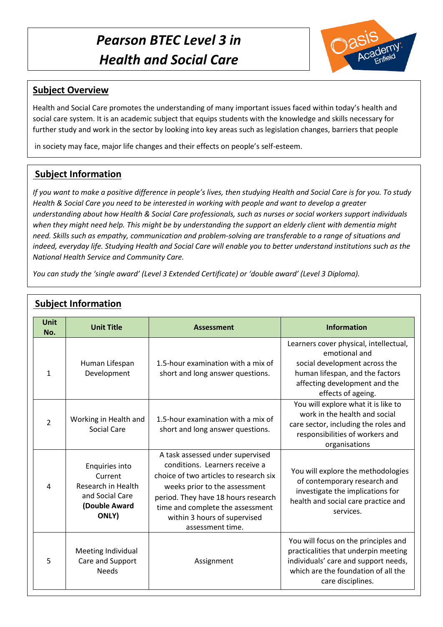# *Pearson BTEC Level 3 in Health and Social Care*



#### **Subject Overview**

Health and Social Care promotes the understanding of many important issues faced within today's health and social care system. It is an academic subject that equips students with the knowledge and skills necessary for further study and work in the sector by looking into key areas such as legislation changes, barriers that people

in society may face, major life changes and their effects on people's self-esteem.

## **Subject Information**

*If you want to make a positive difference in people's lives, then studying Health and Social Care is for you. To study Health & Social Care you need to be interested in working with people and want to develop a greater understanding about how Health & Social Care professionals, such as nurses or social workers support individuals when they might need help. This might be by understanding the support an elderly client with dementia might need. Skills such as empathy, communication and problem-solving are transferable to a range of situations and indeed, everyday life. Studying Health and Social Care will enable you to better understand institutions such as the National Health Service and Community Care.*

*You can study the 'single award' (Level 3 Extended Certificate) or 'double award' (Level 3 Diploma).*

| <b>Unit</b><br>No. | <b>Unit Title</b>                                                                            | <b>Assessment</b>                                                                                                                                                                                                                                                            | <b>Information</b>                                                                                                                                                                 |
|--------------------|----------------------------------------------------------------------------------------------|------------------------------------------------------------------------------------------------------------------------------------------------------------------------------------------------------------------------------------------------------------------------------|------------------------------------------------------------------------------------------------------------------------------------------------------------------------------------|
| $\mathbf{1}$       | Human Lifespan<br>Development                                                                | 1.5-hour examination with a mix of<br>short and long answer questions.                                                                                                                                                                                                       | Learners cover physical, intellectual,<br>emotional and<br>social development across the<br>human lifespan, and the factors<br>affecting development and the<br>effects of ageing. |
| $\overline{2}$     | Working in Health and<br>Social Care                                                         | 1.5-hour examination with a mix of<br>short and long answer questions.                                                                                                                                                                                                       | You will explore what it is like to<br>work in the health and social<br>care sector, including the roles and<br>responsibilities of workers and<br>organisations                   |
| 4                  | Enquiries into<br>Current<br>Research in Health<br>and Social Care<br>(Double Award<br>ONLY) | A task assessed under supervised<br>conditions. Learners receive a<br>choice of two articles to research six<br>weeks prior to the assessment<br>period. They have 18 hours research<br>time and complete the assessment<br>within 3 hours of supervised<br>assessment time. | You will explore the methodologies<br>of contemporary research and<br>investigate the implications for<br>health and social care practice and<br>services.                         |
| 5                  | Meeting Individual<br>Care and Support<br><b>Needs</b>                                       | Assignment                                                                                                                                                                                                                                                                   | You will focus on the principles and<br>practicalities that underpin meeting<br>individuals' care and support needs,<br>which are the foundation of all the<br>care disciplines.   |

### **Subject Information**